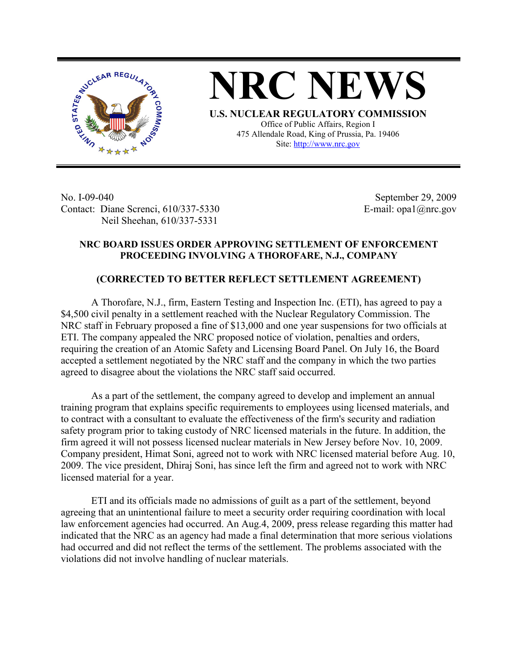



**U.S. NUCLEAR REGULATORY COMMISSION** Office of Public Affairs, Region I 475 Allendale Road, King of Prussia, Pa. 19406 Site: http://www.nrc.gov

No. I-09-040 Contact: Diane Screnci, 610/337-5330 Neil Sheehan, 610/337-5331

September 29, 2009 E-mail: opa1@nrc.gov

## **NRC BOARD ISSUES ORDER APPROVING SETTLEMENT OF ENFORCEMENT PROCEEDING INVOLVING A THOROFARE, N.J., COMPANY**

## **(CORRECTED TO BETTER REFLECT SETTLEMENT AGREEMENT)**

 A Thorofare, N.J., firm, Eastern Testing and Inspection Inc. (ETI), has agreed to pay a \$4,500 civil penalty in a settlement reached with the Nuclear Regulatory Commission. The NRC staff in February proposed a fine of \$13,000 and one year suspensions for two officials at ETI. The company appealed the NRC proposed notice of violation, penalties and orders, requiring the creation of an Atomic Safety and Licensing Board Panel. On July 16, the Board accepted a settlement negotiated by the NRC staff and the company in which the two parties agreed to disagree about the violations the NRC staff said occurred.

 As a part of the settlement, the company agreed to develop and implement an annual training program that explains specific requirements to employees using licensed materials, and to contract with a consultant to evaluate the effectiveness of the firm's security and radiation safety program prior to taking custody of NRC licensed materials in the future. In addition, the firm agreed it will not possess licensed nuclear materials in New Jersey before Nov. 10, 2009. Company president, Himat Soni, agreed not to work with NRC licensed material before Aug. 10, 2009. The vice president, Dhiraj Soni, has since left the firm and agreed not to work with NRC licensed material for a year.

ETI and its officials made no admissions of guilt as a part of the settlement, beyond agreeing that an unintentional failure to meet a security order requiring coordination with local law enforcement agencies had occurred. An Aug.4, 2009, press release regarding this matter had indicated that the NRC as an agency had made a final determination that more serious violations had occurred and did not reflect the terms of the settlement. The problems associated with the violations did not involve handling of nuclear materials.